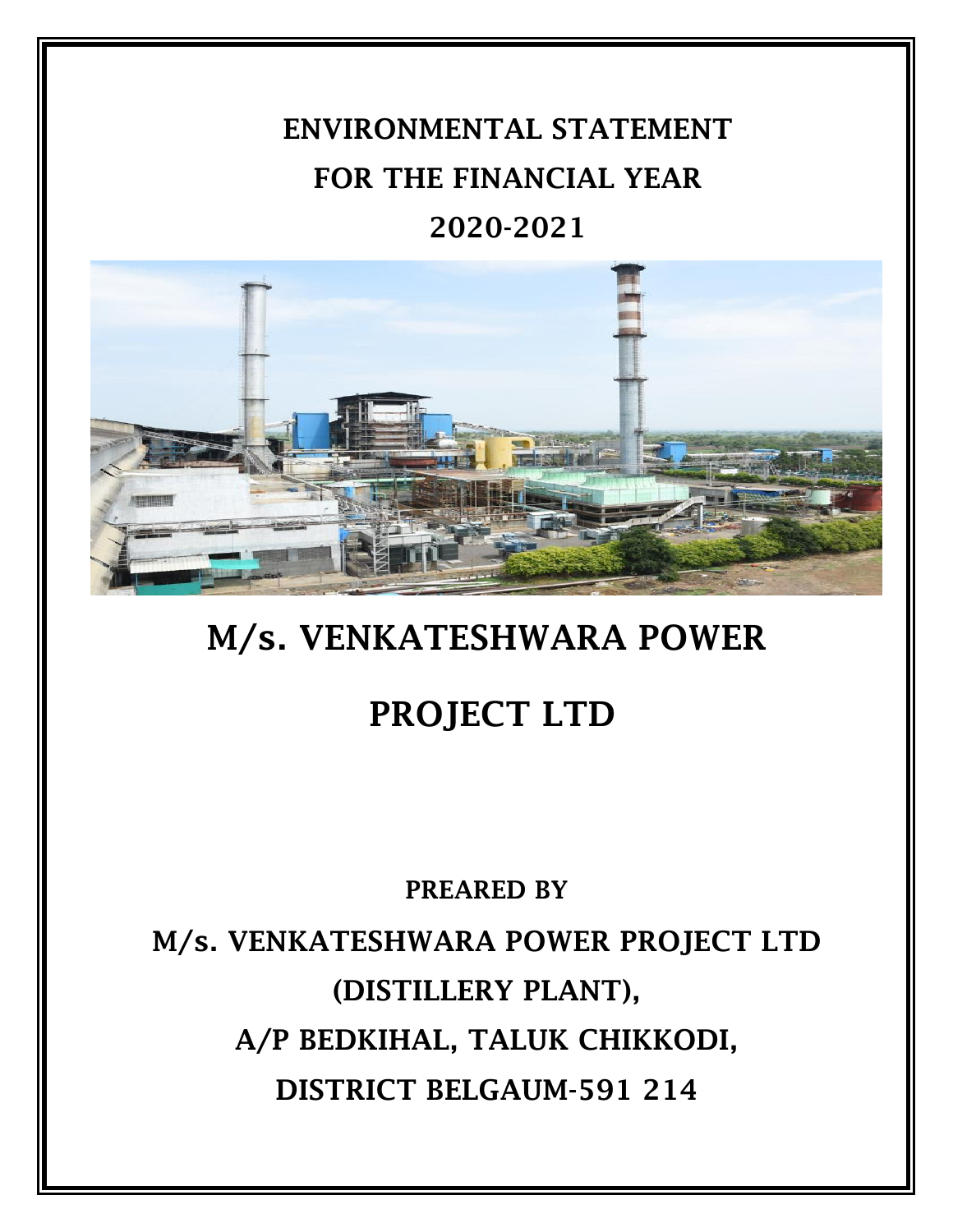# **ENVIRONMENTAL STATEMENT FOR THE FINANCIAL YEAR 2020-2021**



## **M/s. VENKATESHWARA POWER**

## **PROJECT LTD**

## **PREARED BY**

**M/s. VENKATESHWARA POWER PROJECT LTD (DISTILLERY PLANT), A/P BEDKIHAL, TALUK CHIKKODI, DISTRICT BELGAUM-591 214**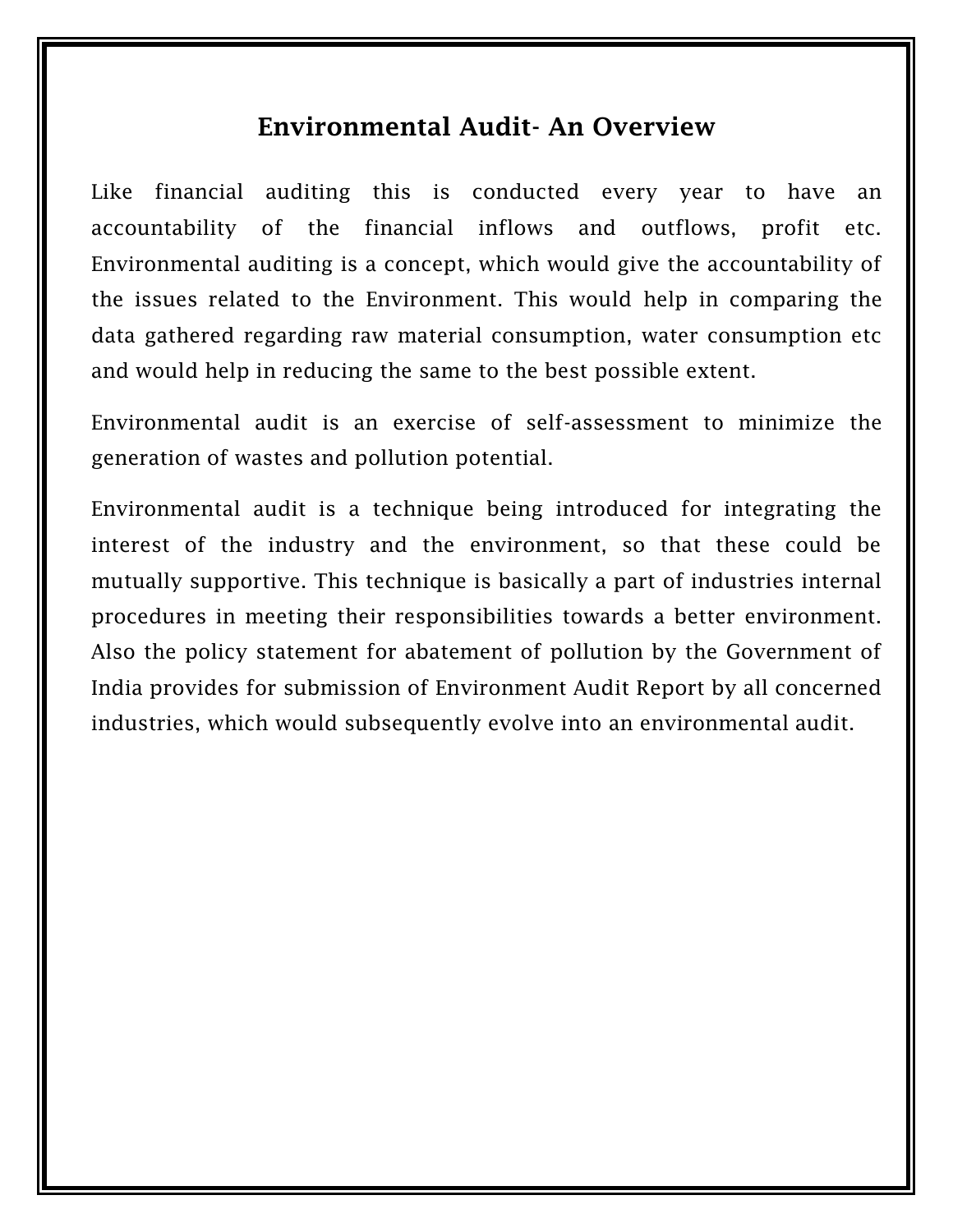## **Environmental Audit- An Overview**

Like financial auditing this is conducted every year to have an accountability of the financial inflows and outflows, profit etc. Environmental auditing is a concept, which would give the accountability of the issues related to the Environment. This would help in comparing the data gathered regarding raw material consumption, water consumption etc and would help in reducing the same to the best possible extent.

Environmental audit is an exercise of self-assessment to minimize the generation of wastes and pollution potential.

Environmental audit is a technique being introduced for integrating the interest of the industry and the environment, so that these could be mutually supportive. This technique is basically a part of industries internal procedures in meeting their responsibilities towards a better environment. Also the policy statement for abatement of pollution by the Government of India provides for submission of Environment Audit Report by all concerned industries, which would subsequently evolve into an environmental audit.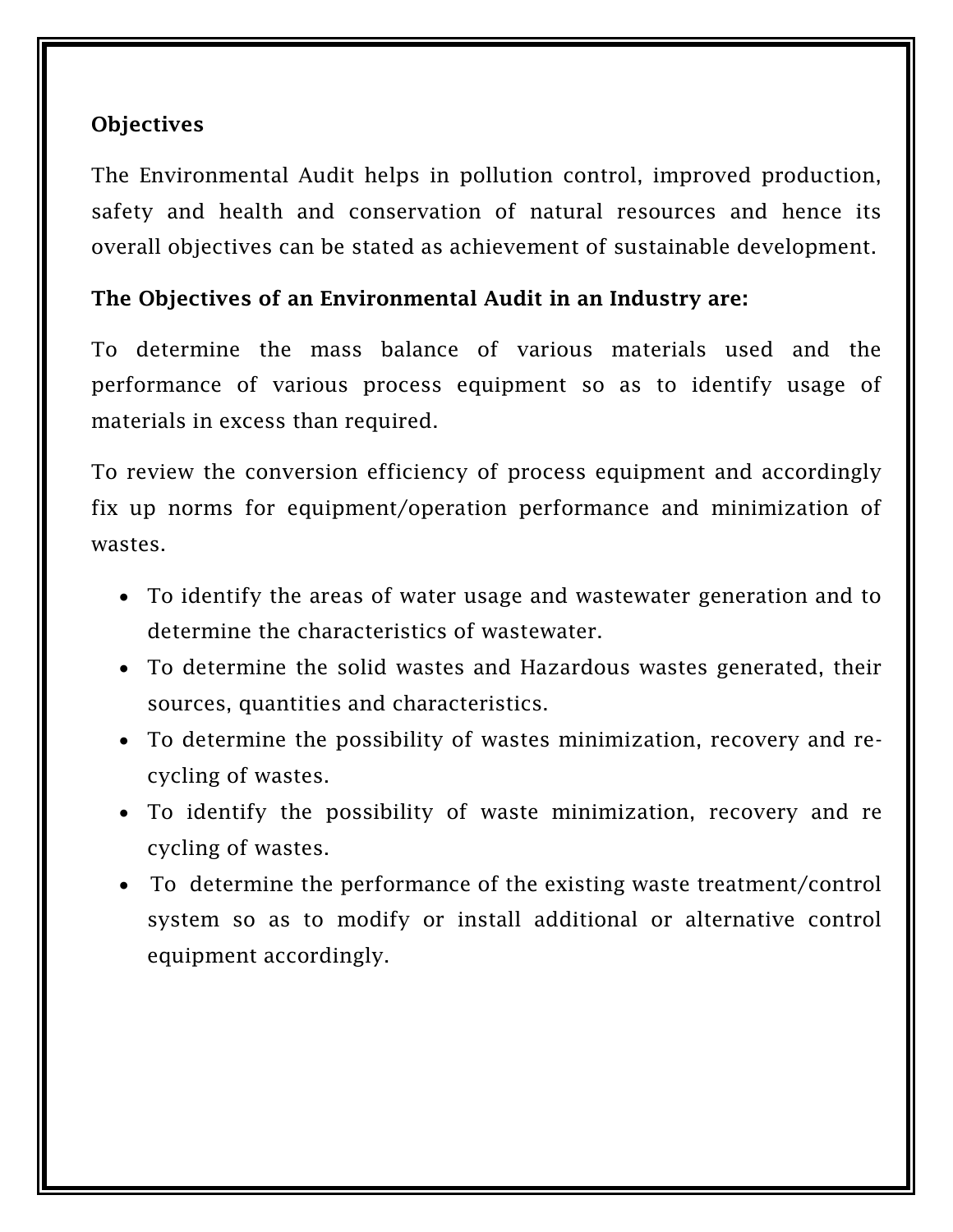#### **Objectives**

The Environmental Audit helps in pollution control, improved production, safety and health and conservation of natural resources and hence its overall objectives can be stated as achievement of sustainable development.

#### **The Objectives of an Environmental Audit in an Industry are:**

To determine the mass balance of various materials used and the performance of various process equipment so as to identify usage of materials in excess than required.

To review the conversion efficiency of process equipment and accordingly fix up norms for equipment/operation performance and minimization of wastes.

- To identify the areas of water usage and wastewater generation and to determine the characteristics of wastewater.
- To determine the solid wastes and Hazardous wastes generated, their sources, quantities and characteristics.
- To determine the possibility of wastes minimization, recovery and recycling of wastes.
- To identify the possibility of waste minimization, recovery and re cycling of wastes.
- To determine the performance of the existing waste treatment/control system so as to modify or install additional or alternative control equipment accordingly.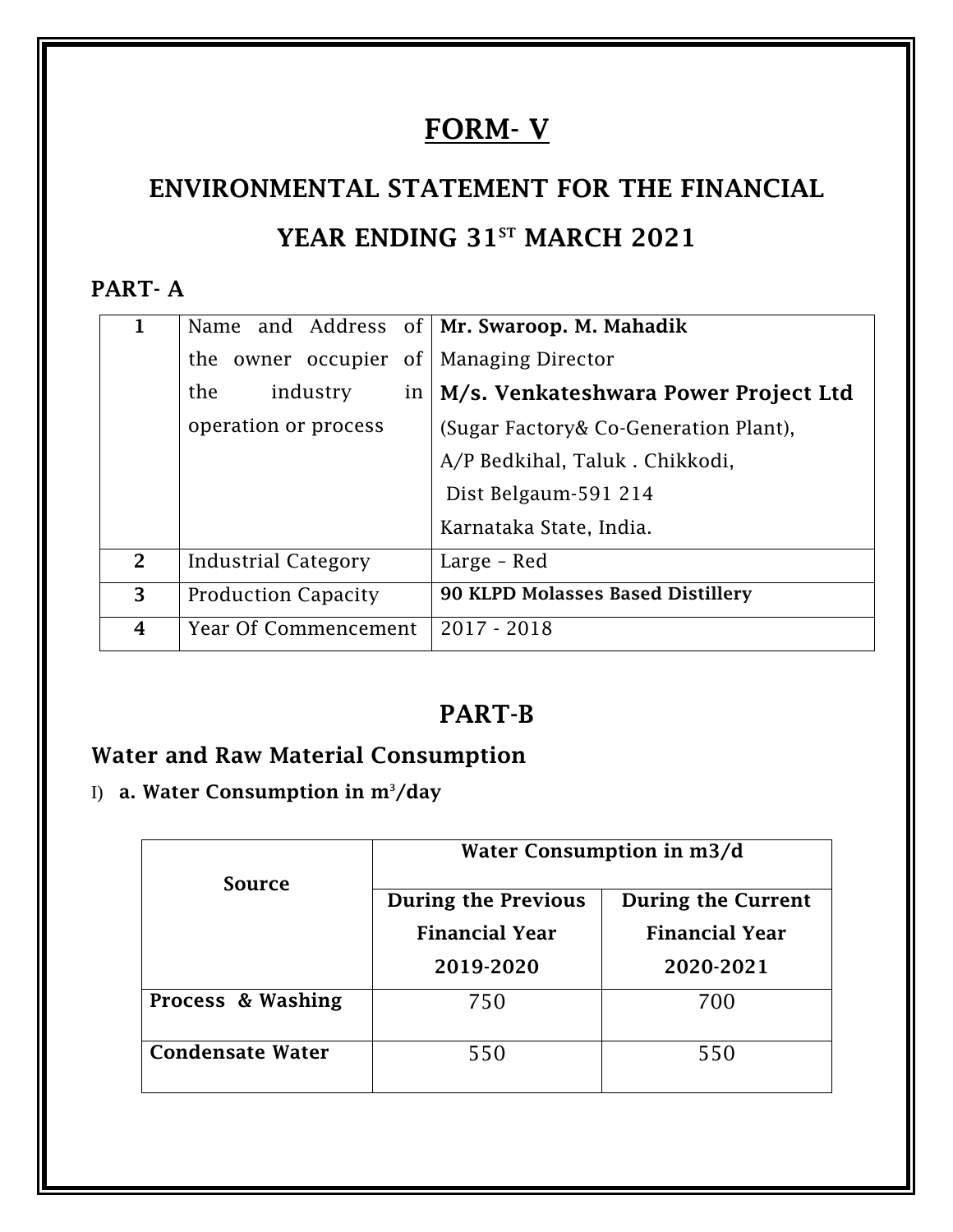## **FORM- V**

# **ENVIRONMENTAL STATEMENT FOR THE FINANCIAL YEAR ENDING 31ST MARCH 2021**

#### **PART- A**

| 1 |                            | Name and Address of   Mr. Swaroop. M. Mahadik |
|---|----------------------------|-----------------------------------------------|
|   | owner occupier of<br>the   | <b>Managing Director</b>                      |
|   | industry<br>the<br>in      | M/s. Venkateshwara Power Project Ltd          |
|   | operation or process       | (Sugar Factory& Co-Generation Plant),         |
|   |                            | A/P Bedkihal, Taluk . Chikkodi,               |
|   |                            | Dist Belgaum-591 214                          |
|   |                            | Karnataka State, India.                       |
| 2 | Industrial Category        | Large - Red                                   |
| 3 | <b>Production Capacity</b> | 90 KLPD Molasses Based Distillery             |
| 4 | Year Of Commencement       | $2017 - 2018$                                 |

## **PART-B**

## **Water and Raw Material Consumption**

I) **a. Water Consumption in m3/day**

|                         | Water Consumption in m3/d  |                           |  |
|-------------------------|----------------------------|---------------------------|--|
| Source                  | <b>During the Previous</b> | <b>During the Current</b> |  |
|                         | <b>Financial Year</b>      | <b>Financial Year</b>     |  |
|                         | 2019-2020                  | 2020-2021                 |  |
| Process & Washing       | 750                        | 700                       |  |
| <b>Condensate Water</b> | 550                        | 550                       |  |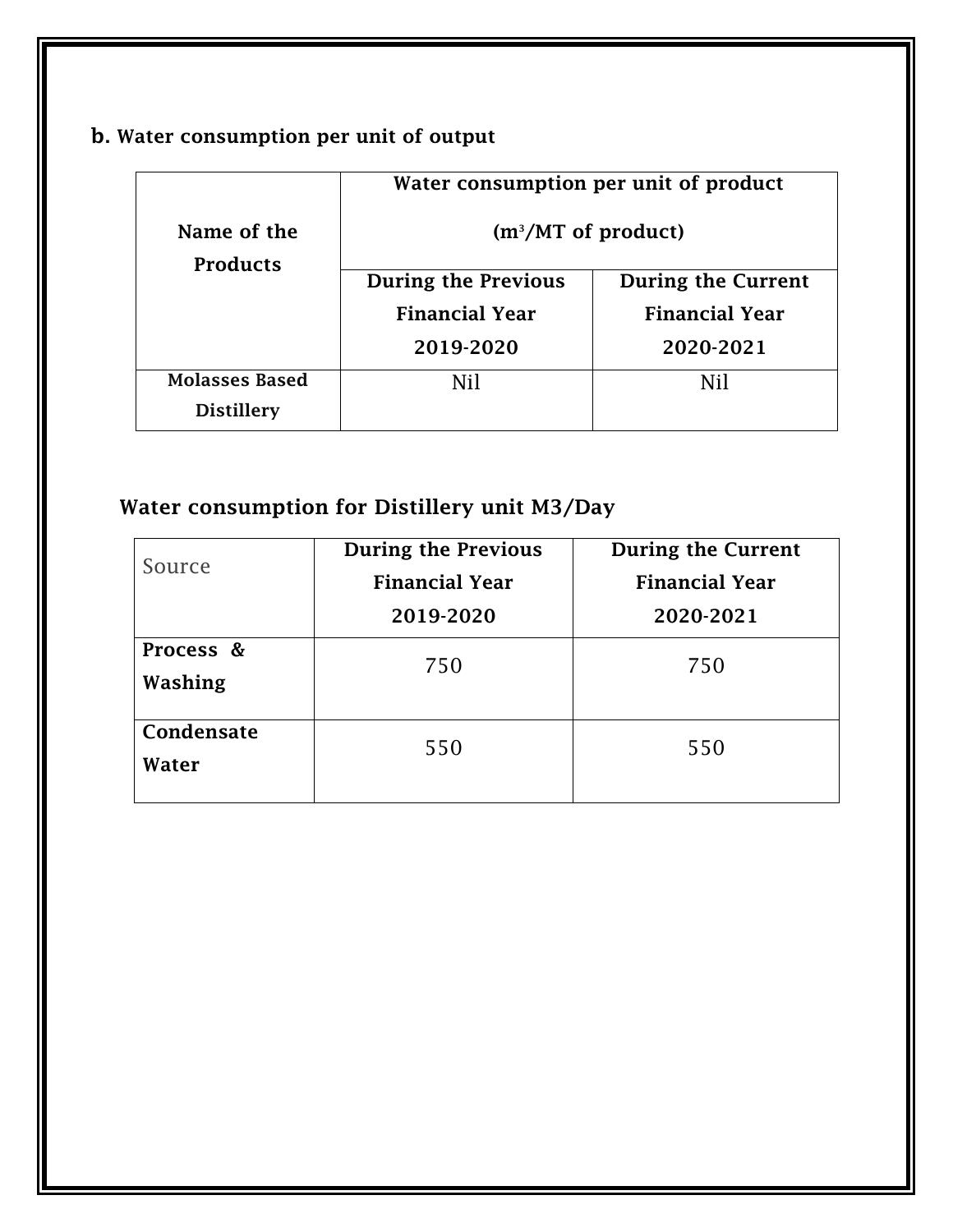#### **b. Water consumption per unit of output**

|                                | Water consumption per unit of product |                           |  |
|--------------------------------|---------------------------------------|---------------------------|--|
| Name of the<br><b>Products</b> | $(m^3/MT$ of product)                 |                           |  |
|                                | <b>During the Previous</b>            | <b>During the Current</b> |  |
|                                | <b>Financial Year</b>                 | <b>Financial Year</b>     |  |
|                                | 2019-2020                             | 2020-2021                 |  |
| <b>Molasses Based</b>          | Nil                                   | Nil                       |  |
| <b>Distillery</b>              |                                       |                           |  |

## **Water consumption for Distillery unit M3/Day**

| Source               | <b>During the Previous</b> | <b>During the Current</b> |  |
|----------------------|----------------------------|---------------------------|--|
|                      | <b>Financial Year</b>      | <b>Financial Year</b>     |  |
|                      | 2019-2020                  | 2020-2021                 |  |
| Process &<br>Washing | 750                        | 750                       |  |
| Condensate<br>Water  | 550                        | 550                       |  |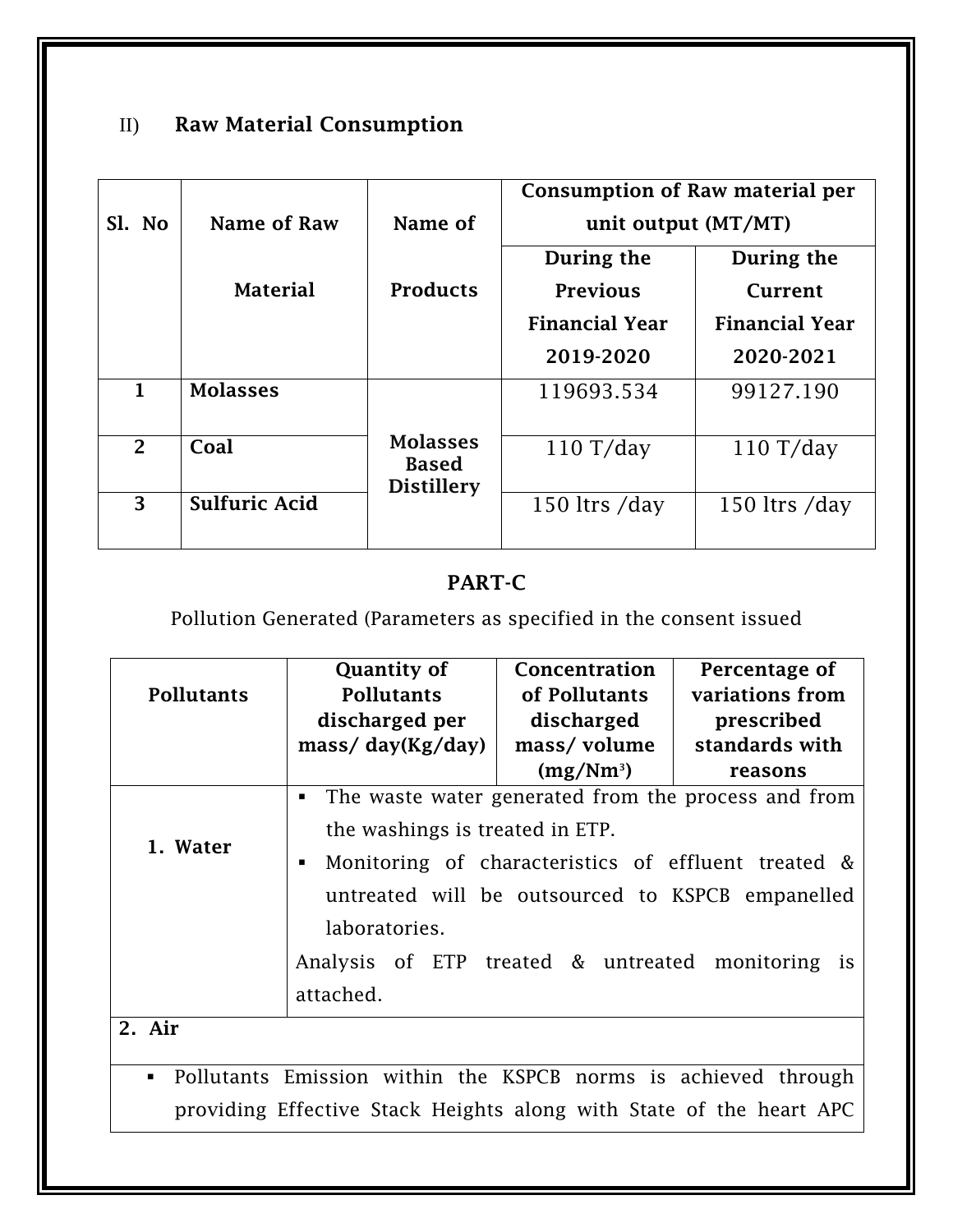## II) **Raw Material Consumption**

|                |                      |                                                      | Consumption of Raw material per |                       |
|----------------|----------------------|------------------------------------------------------|---------------------------------|-----------------------|
| Sl. No         | Name of Raw          | Name of                                              | unit output (MT/MT)             |                       |
|                |                      |                                                      | During the                      | During the            |
|                | <b>Material</b>      | <b>Products</b>                                      | <b>Previous</b>                 | Current               |
|                |                      |                                                      | <b>Financial Year</b>           | <b>Financial Year</b> |
|                |                      |                                                      | 2019-2020                       | 2020-2021             |
| $\mathbf{1}$   | <b>Molasses</b>      |                                                      | 119693.534                      | 99127.190             |
| $\overline{2}$ | Coal                 | <b>Molasses</b><br><b>Based</b><br><b>Distillery</b> | $110 \text{ T/day}$             | $110 \text{ T/day}$   |
| 3              | <b>Sulfuric Acid</b> |                                                      | 150 ltrs /day                   | 150 ltrs /day         |

#### **PART-C**

## Pollution Generated (Parameters as specified in the consent issued

| <b>Pollutants</b>                                                                | <b>Quantity of</b><br><b>Pollutants</b>                  | Concentration<br>of Pollutants | Percentage of<br>variations from                 |
|----------------------------------------------------------------------------------|----------------------------------------------------------|--------------------------------|--------------------------------------------------|
|                                                                                  | discharged per                                           | discharged                     | prescribed                                       |
|                                                                                  | $\frac{mass}{day(Kg/day)}$                               | mass/volume                    | standards with                                   |
|                                                                                  |                                                          | $(mg/Nm^3)$                    | reasons                                          |
|                                                                                  | The waste water generated from the process and from<br>٠ |                                |                                                  |
| 1. Water                                                                         | the washings is treated in ETP.                          |                                |                                                  |
|                                                                                  | Monitoring of characteristics of effluent treated &<br>ш |                                |                                                  |
|                                                                                  |                                                          |                                | untreated will be outsourced to KSPCB empanelled |
|                                                                                  | laboratories.                                            |                                |                                                  |
|                                                                                  | Analysis of ETP treated & untreated                      |                                | monitoring<br><sup>is</sup>                      |
|                                                                                  | attached.                                                |                                |                                                  |
| 2. Air                                                                           |                                                          |                                |                                                  |
|                                                                                  |                                                          |                                |                                                  |
| Pollutants Emission within the KSPCB norms is achieved through<br>$\blacksquare$ |                                                          |                                |                                                  |
| providing Effective Stack Heights along with State of the heart APC              |                                                          |                                |                                                  |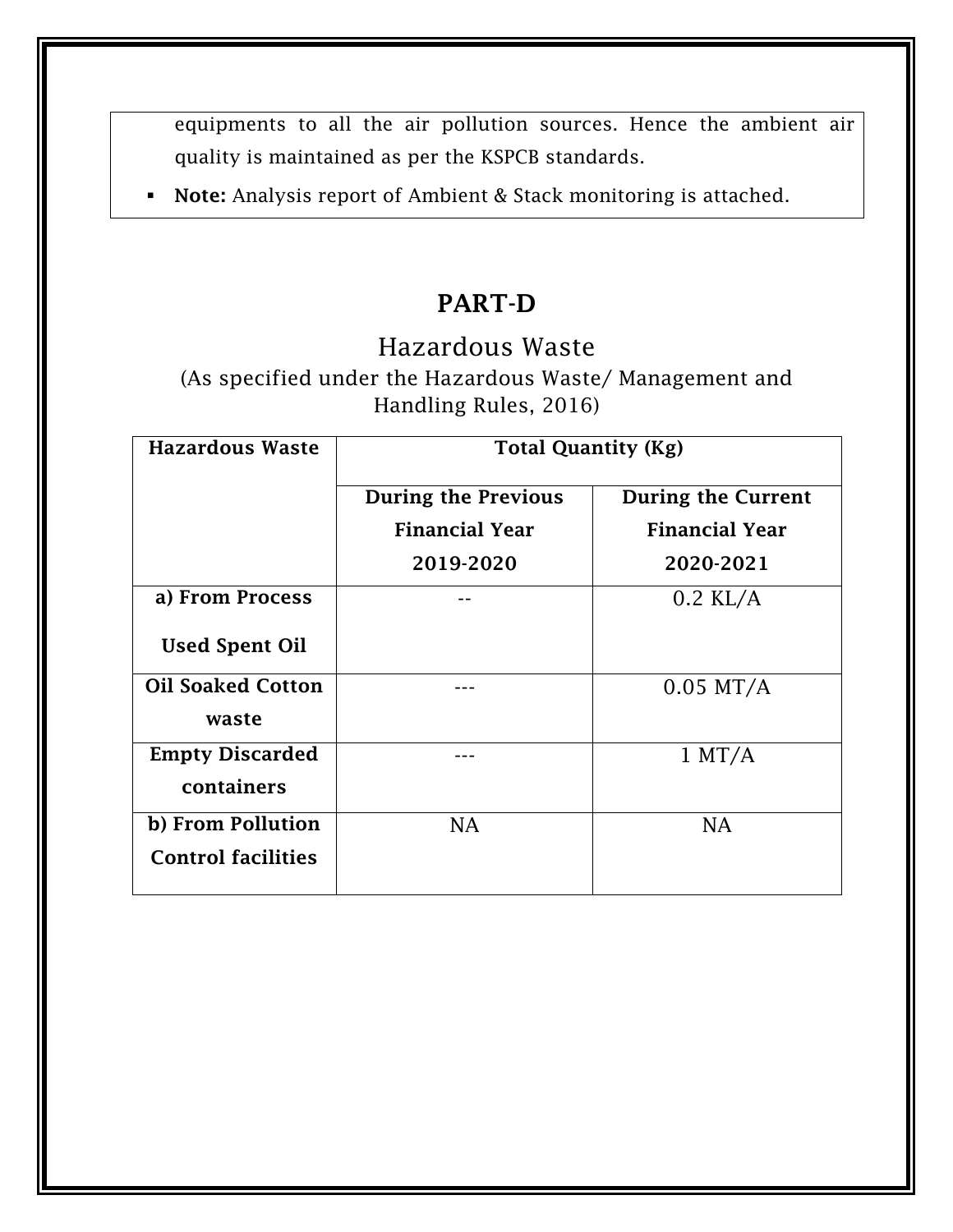equipments to all the air pollution sources. Hence the ambient air quality is maintained as per the KSPCB standards.

**Note:** Analysis report of Ambient & Stack monitoring is attached.

## **PART-D**

Hazardous Waste

(As specified under the Hazardous Waste/ Management and Handling Rules, 2016)

| <b>Hazardous Waste</b>    | <b>Total Quantity (Kg)</b> |                           |  |
|---------------------------|----------------------------|---------------------------|--|
|                           | <b>During the Previous</b> | <b>During the Current</b> |  |
|                           | <b>Financial Year</b>      | <b>Financial Year</b>     |  |
|                           | 2019-2020                  | 2020-2021                 |  |
| a) From Process           |                            | $0.2$ KL/A                |  |
| <b>Used Spent Oil</b>     |                            |                           |  |
| <b>Oil Soaked Cotton</b>  |                            | $0.05$ MT/A               |  |
| waste                     |                            |                           |  |
| <b>Empty Discarded</b>    |                            | $1$ MT/A                  |  |
| containers                |                            |                           |  |
| b) From Pollution         | <b>NA</b>                  | NA                        |  |
| <b>Control facilities</b> |                            |                           |  |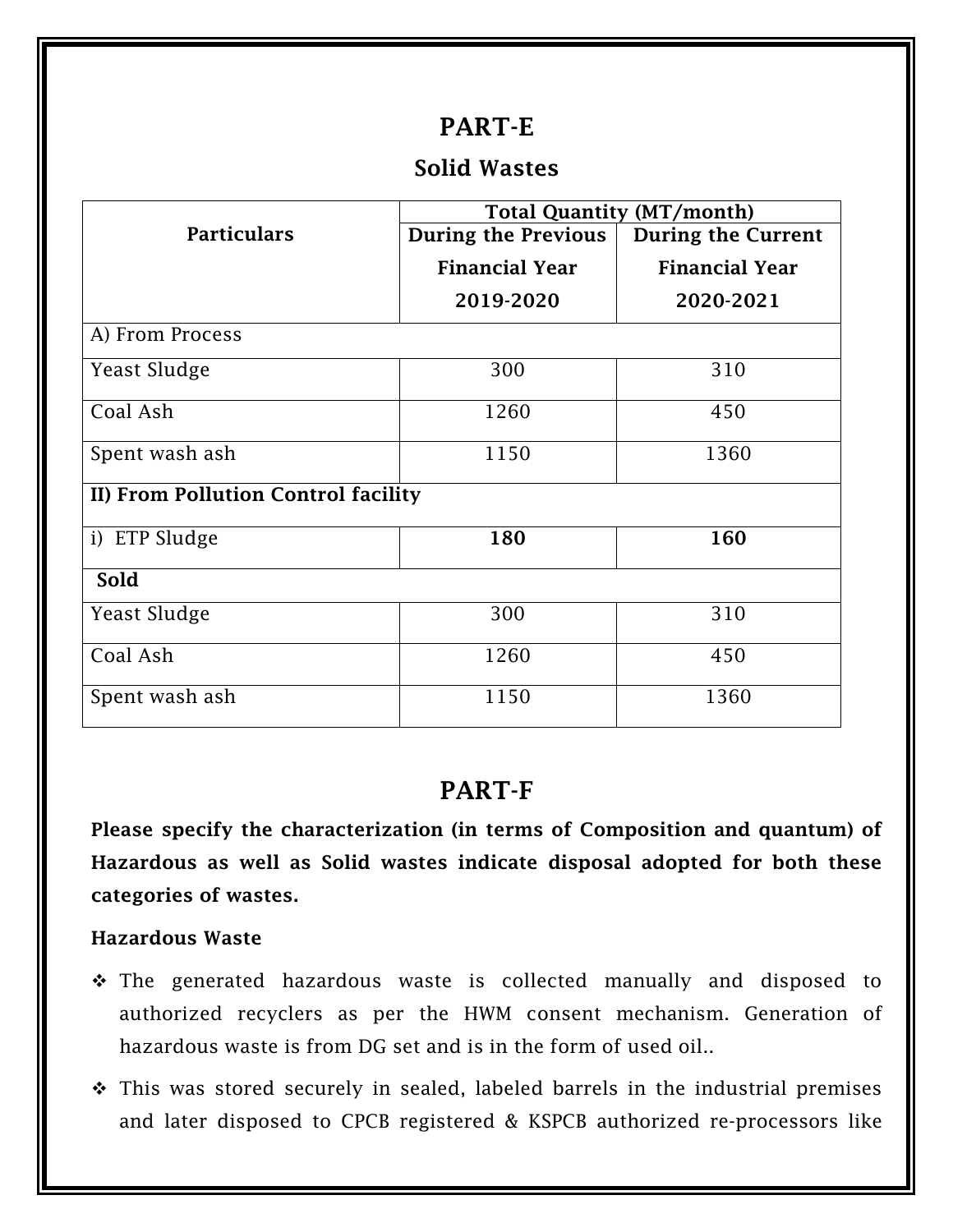#### **PART-E**

#### **Solid Wastes**

|                                     | <b>Total Quantity (MT/month)</b> |                           |  |
|-------------------------------------|----------------------------------|---------------------------|--|
| <b>Particulars</b>                  | <b>During the Previous</b>       | <b>During the Current</b> |  |
|                                     | <b>Financial Year</b>            | <b>Financial Year</b>     |  |
|                                     | 2019-2020                        | 2020-2021                 |  |
| A) From Process                     |                                  |                           |  |
| <b>Yeast Sludge</b>                 | 300                              | 310                       |  |
| Coal Ash                            | 1260                             | 450                       |  |
| Spent wash ash                      | 1150                             | 1360                      |  |
| II) From Pollution Control facility |                                  |                           |  |
| i) ETP Sludge                       | 180                              | 160                       |  |
| Sold                                |                                  |                           |  |
| <b>Yeast Sludge</b>                 | 300                              | 310                       |  |
| Coal Ash                            | 1260                             | 450                       |  |
| Spent wash ash                      | 1150                             | 1360                      |  |

#### **PART-F**

**Please specify the characterization (in terms of Composition and quantum) of Hazardous as well as Solid wastes indicate disposal adopted for both these categories of wastes.**

#### **Hazardous Waste**

- \* The generated hazardous waste is collected manually and disposed to authorized recyclers as per the HWM consent mechanism. Generation of hazardous waste is from DG set and is in the form of used oil..
- \* This was stored securely in sealed, labeled barrels in the industrial premises and later disposed to CPCB registered & KSPCB authorized re-processors like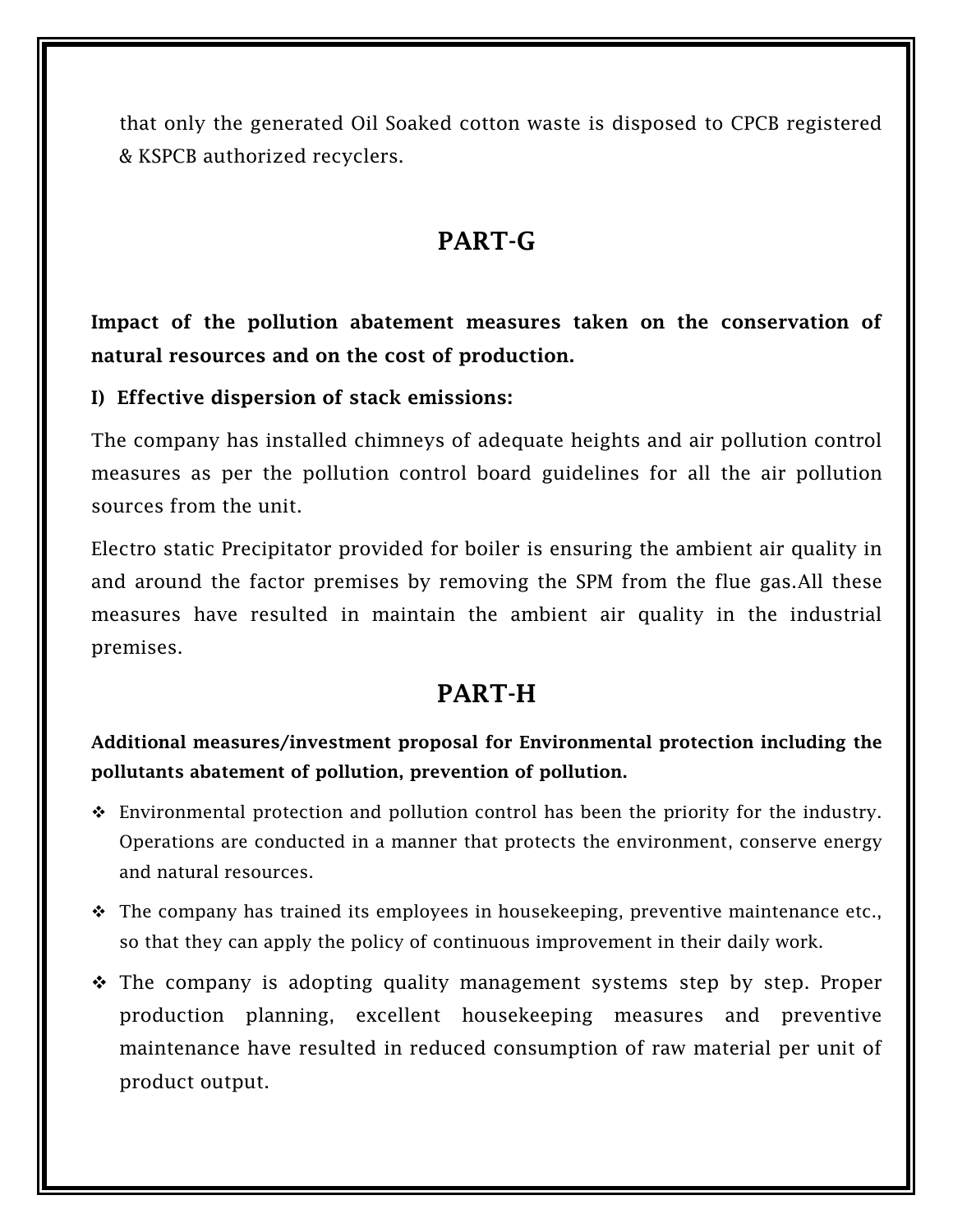that only the generated Oil Soaked cotton waste is disposed to CPCB registered & KSPCB authorized recyclers.

## **PART-G**

**Impact of the pollution abatement measures taken on the conservation of natural resources and on the cost of production.**

**I) Effective dispersion of stack emissions:**

The company has installed chimneys of adequate heights and air pollution control measures as per the pollution control board guidelines for all the air pollution sources from the unit.

Electro static Precipitator provided for boiler is ensuring the ambient air quality in and around the factor premises by removing the SPM from the flue gas.All these measures have resulted in maintain the ambient air quality in the industrial premises.

## **PART-H**

**Additional measures/investment proposal for Environmental protection including the pollutants abatement of pollution, prevention of pollution.**

- Environmental protection and pollution control has been the priority for the industry. Operations are conducted in a manner that protects the environment, conserve energy and natural resources.
- $\div$  The company has trained its employees in housekeeping, preventive maintenance etc., so that they can apply the policy of continuous improvement in their daily work.
- The company is adopting quality management systems step by step. Proper production planning, excellent housekeeping measures and preventive maintenance have resulted in reduced consumption of raw material per unit of product output.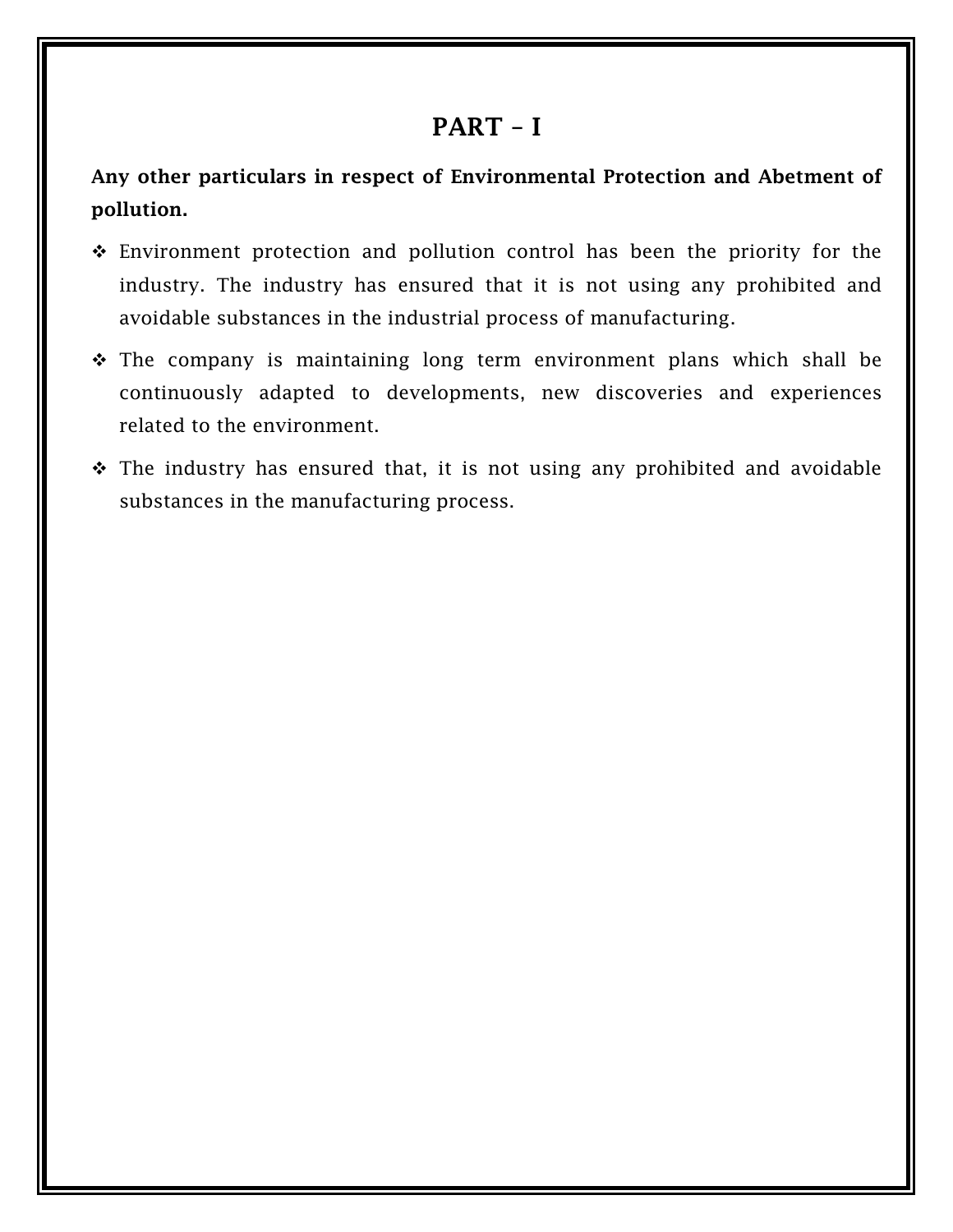#### **PART – I**

**Any other particulars in respect of Environmental Protection and Abetment of pollution.**

- Environment protection and pollution control has been the priority for the industry. The industry has ensured that it is not using any prohibited and avoidable substances in the industrial process of manufacturing.
- $\div$  The company is maintaining long term environment plans which shall be continuously adapted to developments, new discoveries and experiences related to the environment.
- $\div$  The industry has ensured that, it is not using any prohibited and avoidable substances in the manufacturing process.